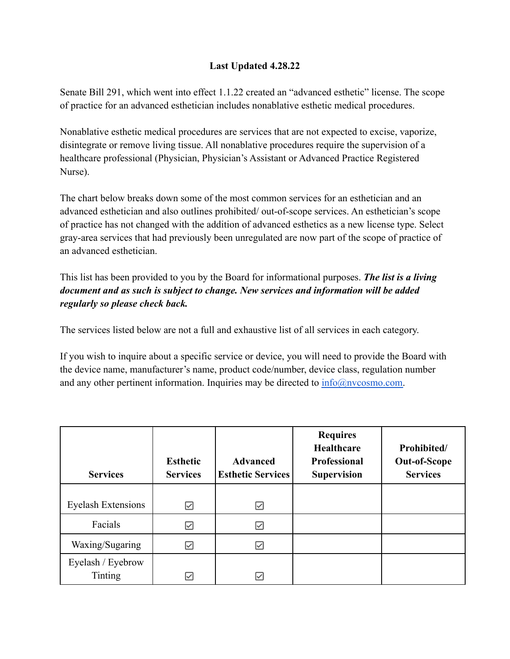## **Last Updated 4.28.22**

Senate Bill 291, which went into effect 1.1.22 created an "advanced esthetic" license. The scope of practice for an advanced esthetician includes nonablative esthetic medical procedures.

Nonablative esthetic medical procedures are services that are not expected to excise, vaporize, disintegrate or remove living tissue. All nonablative procedures require the supervision of a healthcare professional (Physician, Physician's Assistant or Advanced Practice Registered Nurse).

The chart below breaks down some of the most common services for an esthetician and an advanced esthetician and also outlines prohibited/ out-of-scope services. An esthetician's scope of practice has not changed with the addition of advanced esthetics as a new license type. Select gray-area services that had previously been unregulated are now part of the scope of practice of an advanced esthetician.

This list has been provided to you by the Board for informational purposes. *The list is a living document and as such is subject to change. New services and information will be added regularly so please check back.*

The services listed below are not a full and exhaustive list of all services in each category.

If you wish to inquire about a specific service or device, you will need to provide the Board with the device name, manufacturer's name, product code/number, device class, regulation number and any other pertinent information. Inquiries may be directed to  $\frac{info(@nvcosmo.com)}{info(@nvcosmo.com)}$ .

| <b>Services</b>           | <b>Esthetic</b><br><b>Services</b> | <b>Advanced</b><br><b>Esthetic Services</b> | <b>Requires</b><br><b>Healthcare</b><br><b>Professional</b><br><b>Supervision</b> | Prohibited/<br><b>Out-of-Scope</b><br><b>Services</b> |
|---------------------------|------------------------------------|---------------------------------------------|-----------------------------------------------------------------------------------|-------------------------------------------------------|
|                           |                                    |                                             |                                                                                   |                                                       |
| <b>Eyelash Extensions</b> | ☑                                  | ☑                                           |                                                                                   |                                                       |
| Facials                   | ☑                                  | ⋈                                           |                                                                                   |                                                       |
| Waxing/Sugaring           | $\overline{\vee}$                  | Ⅳ                                           |                                                                                   |                                                       |
| Eyelash / Eyebrow         |                                    |                                             |                                                                                   |                                                       |
| <b>Tinting</b>            | $\overline{\smile}$                | ∨                                           |                                                                                   |                                                       |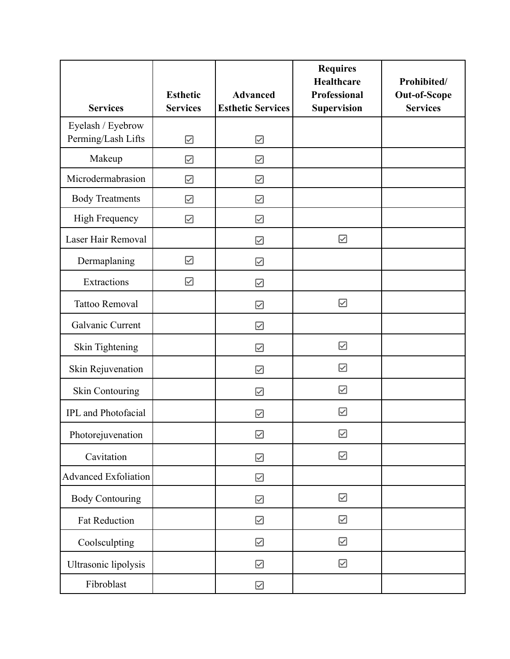| <b>Services</b>                         | <b>Esthetic</b><br><b>Services</b> | <b>Advanced</b><br><b>Esthetic Services</b> | <b>Requires</b><br>Healthcare<br>Professional<br><b>Supervision</b> | Prohibited/<br><b>Out-of-Scope</b><br><b>Services</b> |
|-----------------------------------------|------------------------------------|---------------------------------------------|---------------------------------------------------------------------|-------------------------------------------------------|
| Eyelash / Eyebrow<br>Perming/Lash Lifts | ☑                                  | ☑                                           |                                                                     |                                                       |
| Makeup                                  | $\boxdot$                          | ☑                                           |                                                                     |                                                       |
| Microdermabrasion                       | ☑                                  | ☑                                           |                                                                     |                                                       |
| <b>Body Treatments</b>                  | $\boxdot$                          | ☑                                           |                                                                     |                                                       |
| High Frequency                          | $\boxdot$                          | $\boxdot$                                   |                                                                     |                                                       |
| Laser Hair Removal                      |                                    | ☑                                           | $\boxdot$                                                           |                                                       |
| Dermaplaning                            | $\boxdot$                          | ☑                                           |                                                                     |                                                       |
| Extractions                             | ☑                                  | ☑                                           |                                                                     |                                                       |
| <b>Tattoo Removal</b>                   |                                    | ☑                                           | ☑                                                                   |                                                       |
| Galvanic Current                        |                                    | ☑                                           |                                                                     |                                                       |
| Skin Tightening                         |                                    | ☑                                           | $\boxtimes$                                                         |                                                       |
| Skin Rejuvenation                       |                                    | ☑                                           | ☑                                                                   |                                                       |
| <b>Skin Contouring</b>                  |                                    | ☑                                           | $\boxdot$                                                           |                                                       |
| <b>IPL</b> and Photofacial              |                                    | $\overline{\smile}$                         | ☑                                                                   |                                                       |
| Photorejuvenation                       |                                    |                                             | $\boxdot$                                                           |                                                       |
| Cavitation                              |                                    | ☑                                           | $\boxtimes$                                                         |                                                       |
| <b>Advanced Exfoliation</b>             |                                    | $\boxdot$                                   |                                                                     |                                                       |
| <b>Body Contouring</b>                  |                                    | $\boxtimes$                                 |                                                                     |                                                       |
| Fat Reduction                           |                                    | ☑                                           | ☑                                                                   |                                                       |
| Coolsculpting                           |                                    | ☑                                           | $\boxdot$                                                           |                                                       |
| Ultrasonic lipolysis                    |                                    |                                             |                                                                     |                                                       |
| Fibroblast                              |                                    |                                             |                                                                     |                                                       |